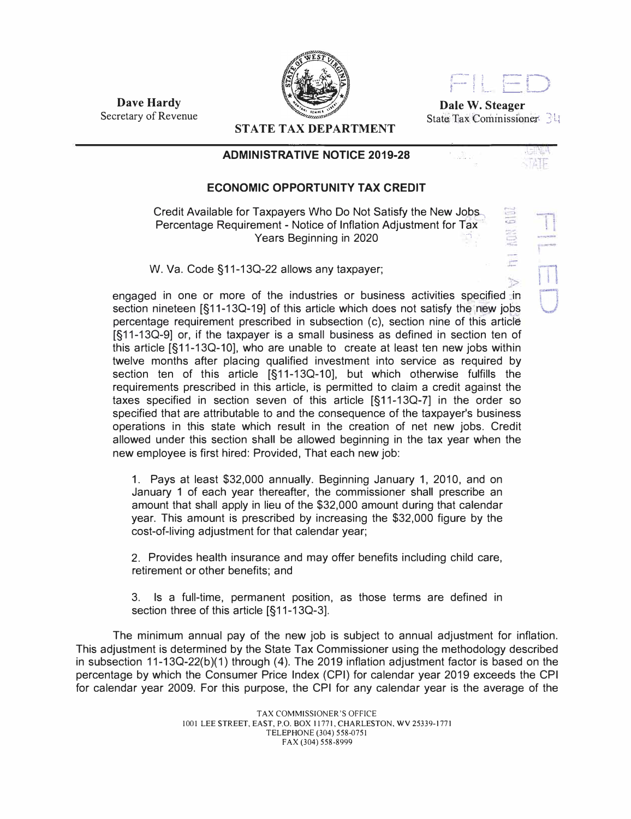



**Dale W. Steager**  State; Tax Commissioner: 3 L

**Dave Hardy**  Secretary of Revenue

**STATE TAX DEPARTMENT** 

## **ADMINISTRATIVE NOTICE 2019-28**

## **ECONOMIC OPPORTUNITY TAX CREDIT**

Credit Available for Taxpayers Who Do Not Satisfy the New Jobs Percentage Requirement - Notice of Inflation Adjustment for Tax. Years Beginning in 2020

W. Va. Code §11-13Q-22 allows any taxpayer;

engaged in one or more of the industries or business activities specified in section nineteen  $\left[ \xi$ 11-13Q-19] of this article which does not satisfy the new jobs percentage requirement prescribed in subsection (c), section nine of this article [§11-130-9] or, if the taxpayer is a small business as defined in section ten of this article [§11-13Q-10], who are unable to create at least ten new jobs within twelve months after placing qualified investment into service as required by section ten of this article [§11-130-10], but which otherwise fulfills the requirements prescribed in this article, is permitted to claim a credit against the taxes specified in section seven of this article [§11-130-7] in the order so specified that are attributable to and the consequence of the taxpayer's business operations in this state which result in the creation of net new jobs. Credit allowed under this section shall be allowed beginning in the tax year when the new employee is first hired: Provided, That each new job:

1. Pays at least \$32,000 annually. Beginning January 1, 2010, and on January 1 of each year thereafter, the commissioner shall prescribe an amount that shall apply in lieu of the \$32,000 amount during that calendar year. This amount is prescribed by increasing the \$32,000 figure by the cost-of-living adjustment for that calendar year;

2. Provides health insurance and may offer benefits including child care, retirement or other benefits; and

3. Is a full-time, permanent position, as those terms are defined in section three of this article [§11-130-3].

The minimum annual pay of the new job is subject to annual adjustment for inflation. This adjustment is determined by the State Tax Commissioner using the methodology described in subsection 11-13O-22(b)(1) through (4). The 2019 inflation adjustment factor is based on the percentage by which the Consumer Price Index (CPI) for calendar year 2019 exceeds the CPI for calendar year 2009. For this purpose, the CPI for any calendar year is the average of the